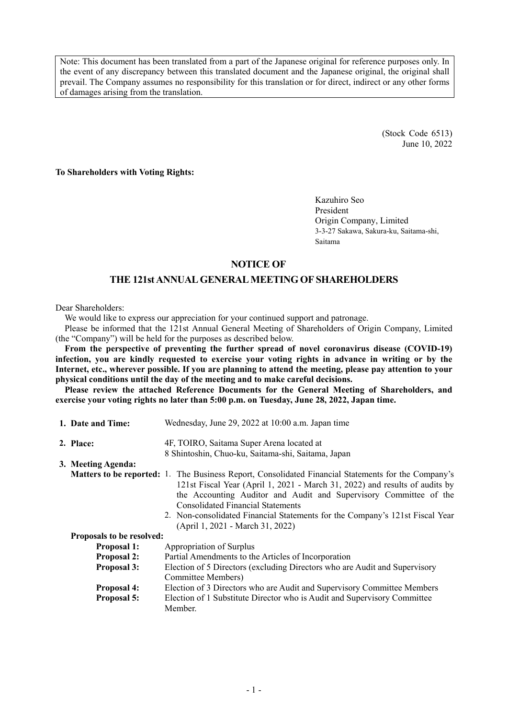Note: This document has been translated from a part of the Japanese original for reference purposes only. In the event of any discrepancy between this translated document and the Japanese original, the original shall prevail. The Company assumes no responsibility for this translation or for direct, indirect or any other forms of damages arising from the translation.

> (Stock Code 6513) June 10, 2022

**To Shareholders with Voting Rights:** 

Kazuhiro Seo President Origin Company, Limited 3-3-27 Sakawa, Sakura-ku, Saitama-shi, Saitama

# **NOTICE OF**

# **THE 121st ANNUAL GENERAL MEETING OF SHAREHOLDERS**

Dear Shareholders:

We would like to express our appreciation for your continued support and patronage.

Please be informed that the 121st Annual General Meeting of Shareholders of Origin Company, Limited (the "Company") will be held for the purposes as described below.

**From the perspective of preventing the further spread of novel coronavirus disease (COVID-19) infection, you are kindly requested to exercise your voting rights in advance in writing or by the Internet, etc., wherever possible. If you are planning to attend the meeting, please pay attention to your physical conditions until the day of the meeting and to make careful decisions.** 

**Please review the attached Reference Documents for the General Meeting of Shareholders, and exercise your voting rights no later than 5:00 p.m. on Tuesday, June 28, 2022, Japan time.** 

| 1. Date and Time:         | Wednesday, June 29, 2022 at 10:00 a.m. Japan time                                                                                                                                                                                                                                                                                                                                                                              |
|---------------------------|--------------------------------------------------------------------------------------------------------------------------------------------------------------------------------------------------------------------------------------------------------------------------------------------------------------------------------------------------------------------------------------------------------------------------------|
| 2. Place:                 | 4F, TOIRO, Saitama Super Arena located at                                                                                                                                                                                                                                                                                                                                                                                      |
|                           | 8 Shintoshin, Chuo-ku, Saitama-shi, Saitama, Japan                                                                                                                                                                                                                                                                                                                                                                             |
| 3. Meeting Agenda:        |                                                                                                                                                                                                                                                                                                                                                                                                                                |
|                           | <b>Matters to be reported:</b> 1. The Business Report, Consolidated Financial Statements for the Company's<br>121st Fiscal Year (April 1, 2021 - March 31, 2022) and results of audits by<br>the Accounting Auditor and Audit and Supervisory Committee of the<br><b>Consolidated Financial Statements</b><br>2. Non-consolidated Financial Statements for the Company's 121st Fiscal Year<br>(April 1, 2021 - March 31, 2022) |
| Proposals to be resolved: |                                                                                                                                                                                                                                                                                                                                                                                                                                |
| <b>Proposal 1:</b>        | Appropriation of Surplus                                                                                                                                                                                                                                                                                                                                                                                                       |
| <b>Proposal 2:</b>        | Partial Amendments to the Articles of Incorporation                                                                                                                                                                                                                                                                                                                                                                            |
| <b>Proposal 3:</b>        | Election of 5 Directors (excluding Directors who are Audit and Supervisory<br>Committee Members)                                                                                                                                                                                                                                                                                                                               |
| <b>Proposal 4:</b>        | Election of 3 Directors who are Audit and Supervisory Committee Members                                                                                                                                                                                                                                                                                                                                                        |
| <b>Proposal 5:</b>        | Election of 1 Substitute Director who is Audit and Supervisory Committee<br>Member.                                                                                                                                                                                                                                                                                                                                            |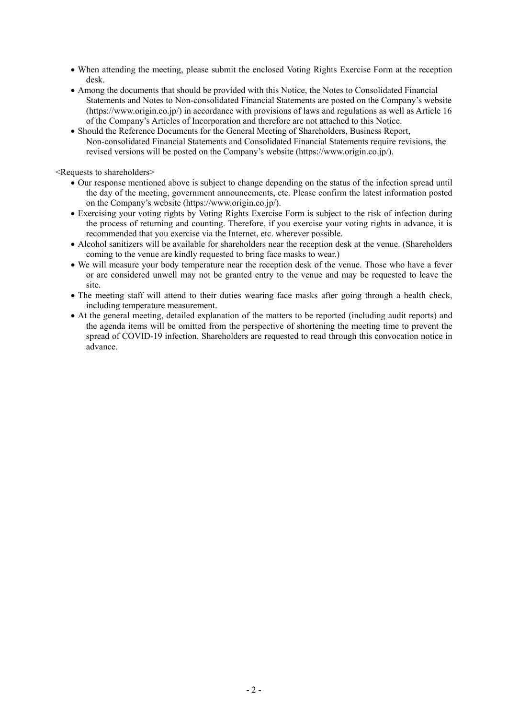- When attending the meeting, please submit the enclosed Voting Rights Exercise Form at the reception desk.
- Among the documents that should be provided with this Notice, the Notes to Consolidated Financial Statements and Notes to Non-consolidated Financial Statements are posted on the Company's website (https://www.origin.co.jp/) in accordance with provisions of laws and regulations as well as Article 16 of the Company's Articles of Incorporation and therefore are not attached to this Notice.
- Should the Reference Documents for the General Meeting of Shareholders, Business Report, Non-consolidated Financial Statements and Consolidated Financial Statements require revisions, the revised versions will be posted on the Company's website (https://www.origin.co.jp/).

<Requests to shareholders>

- Our response mentioned above is subject to change depending on the status of the infection spread until the day of the meeting, government announcements, etc. Please confirm the latest information posted on the Company's website (https://www.origin.co.jp/).
- Exercising your voting rights by Voting Rights Exercise Form is subject to the risk of infection during the process of returning and counting. Therefore, if you exercise your voting rights in advance, it is recommended that you exercise via the Internet, etc. wherever possible.
- Alcohol sanitizers will be available for shareholders near the reception desk at the venue. (Shareholders coming to the venue are kindly requested to bring face masks to wear.)
- We will measure your body temperature near the reception desk of the venue. Those who have a fever or are considered unwell may not be granted entry to the venue and may be requested to leave the site.
- The meeting staff will attend to their duties wearing face masks after going through a health check, including temperature measurement.
- At the general meeting, detailed explanation of the matters to be reported (including audit reports) and the agenda items will be omitted from the perspective of shortening the meeting time to prevent the spread of COVID-19 infection. Shareholders are requested to read through this convocation notice in advance.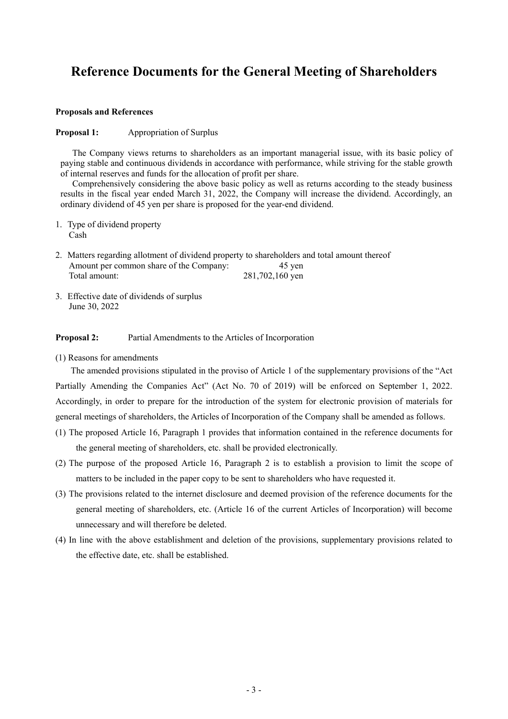# **Reference Documents for the General Meeting of Shareholders**

#### **Proposals and References**

#### **Proposal 1:** Appropriation of Surplus

The Company views returns to shareholders as an important managerial issue, with its basic policy of paying stable and continuous dividends in accordance with performance, while striving for the stable growth of internal reserves and funds for the allocation of profit per share.

Comprehensively considering the above basic policy as well as returns according to the steady business results in the fiscal year ended March 31, 2022, the Company will increase the dividend. Accordingly, an ordinary dividend of 45 yen per share is proposed for the year-end dividend.

- 1. Type of dividend property Cash
- 2. Matters regarding allotment of dividend property to shareholders and total amount thereof Amount per common share of the Company: 45 yen Total amount: 281,702,160 yen
- 3. Effective date of dividends of surplus June 30, 2022

#### **Proposal 2:** Partial Amendments to the Articles of Incorporation

(1) Reasons for amendments

The amended provisions stipulated in the proviso of Article 1 of the supplementary provisions of the "Act Partially Amending the Companies Act" (Act No. 70 of 2019) will be enforced on September 1, 2022. Accordingly, in order to prepare for the introduction of the system for electronic provision of materials for general meetings of shareholders, the Articles of Incorporation of the Company shall be amended as follows.

- (1) The proposed Article 16, Paragraph 1 provides that information contained in the reference documents for the general meeting of shareholders, etc. shall be provided electronically.
- (2) The purpose of the proposed Article 16, Paragraph 2 is to establish a provision to limit the scope of matters to be included in the paper copy to be sent to shareholders who have requested it.
- (3) The provisions related to the internet disclosure and deemed provision of the reference documents for the general meeting of shareholders, etc. (Article 16 of the current Articles of Incorporation) will become unnecessary and will therefore be deleted.
- (4) In line with the above establishment and deletion of the provisions, supplementary provisions related to the effective date, etc. shall be established.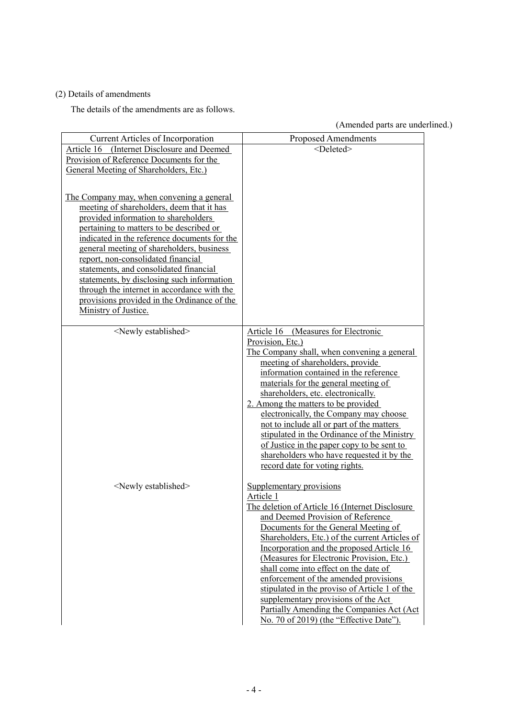# (2) Details of amendments

The details of the amendments are as follows.

(Amended parts are underlined.)

|                                              | (Amended parts are under                        |
|----------------------------------------------|-------------------------------------------------|
| <b>Current Articles of Incorporation</b>     | <b>Proposed Amendments</b>                      |
| Article 16 (Internet Disclosure and Deemed   | <deleted></deleted>                             |
| Provision of Reference Documents for the     |                                                 |
| General Meeting of Shareholders, Etc.)       |                                                 |
|                                              |                                                 |
| The Company may, when convening a general    |                                                 |
| meeting of shareholders, deem that it has    |                                                 |
| provided information to shareholders         |                                                 |
| pertaining to matters to be described or     |                                                 |
| indicated in the reference documents for the |                                                 |
| general meeting of shareholders, business    |                                                 |
| report, non-consolidated financial           |                                                 |
| statements, and consolidated financial       |                                                 |
| statements, by disclosing such information   |                                                 |
| through the internet in accordance with the  |                                                 |
| provisions provided in the Ordinance of the  |                                                 |
| Ministry of Justice.                         |                                                 |
|                                              |                                                 |
| <newly established=""></newly>               | Article 16 (Measures for Electronic             |
|                                              | Provision, Etc.)                                |
|                                              | The Company shall, when convening a general     |
|                                              | meeting of shareholders, provide                |
|                                              | information contained in the reference          |
|                                              | materials for the general meeting of            |
|                                              | shareholders, etc. electronically.              |
|                                              | 2. Among the matters to be provided             |
|                                              | electronically, the Company may choose          |
|                                              | not to include all or part of the matters       |
|                                              | stipulated in the Ordinance of the Ministry     |
|                                              | of Justice in the paper copy to be sent to      |
|                                              | shareholders who have requested it by the       |
|                                              | record date for voting rights.                  |
|                                              |                                                 |
| <newly established=""></newly>               | Supplementary provisions                        |
|                                              | Article 1                                       |
|                                              | The deletion of Article 16 (Internet Disclosure |
|                                              | and Deemed Provision of Reference               |
|                                              | Documents for the General Meeting of            |
|                                              | Shareholders, Etc.) of the current Articles of  |
|                                              | Incorporation and the proposed Article 16       |
|                                              | (Measures for Electronic Provision, Etc.)       |
|                                              | shall come into effect on the date of           |
|                                              | enforcement of the amended provisions           |
|                                              | stipulated in the proviso of Article 1 of the   |
|                                              | supplementary provisions of the Act             |
|                                              | Partially Amending the Companies Act (Act)      |
|                                              | No. 70 of 2019) (the "Effective Date").         |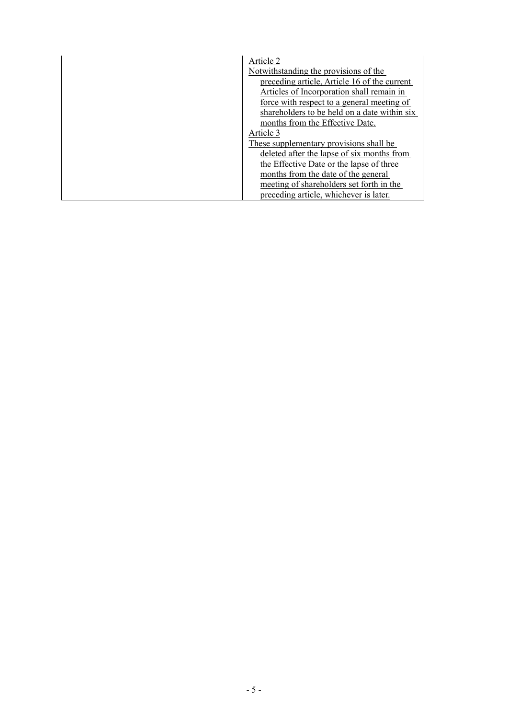| Article 2                                    |
|----------------------------------------------|
| Notwithstanding the provisions of the        |
|                                              |
| preceding article, Article 16 of the current |
| Articles of Incorporation shall remain in    |
| force with respect to a general meeting of   |
| shareholders to be held on a date within six |
| months from the Effective Date.              |
| Article 3                                    |
| These supplementary provisions shall be      |
| deleted after the lapse of six months from   |
| the Effective Date or the lapse of three     |
| months from the date of the general          |
| meeting of shareholders set forth in the     |
| preceding article, whichever is later.       |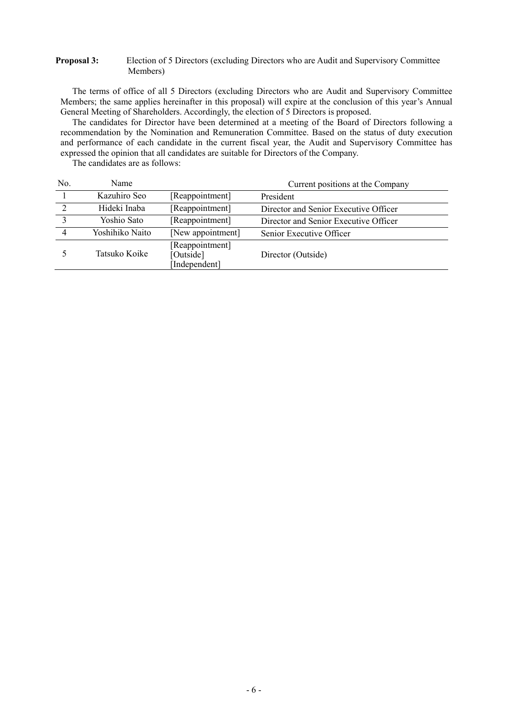### **Proposal 3:** Election of 5 Directors (excluding Directors who are Audit and Supervisory Committee Members)

The terms of office of all 5 Directors (excluding Directors who are Audit and Supervisory Committee Members; the same applies hereinafter in this proposal) will expire at the conclusion of this year's Annual General Meeting of Shareholders. Accordingly, the election of 5 Directors is proposed.

The candidates for Director have been determined at a meeting of the Board of Directors following a recommendation by the Nomination and Remuneration Committee. Based on the status of duty execution and performance of each candidate in the current fiscal year, the Audit and Supervisory Committee has expressed the opinion that all candidates are suitable for Directors of the Company.

The candidates are as follows:

| No.           | Name            |                                               | Current positions at the Company      |
|---------------|-----------------|-----------------------------------------------|---------------------------------------|
|               | Kazuhiro Seo    | [Reappointment]                               | President                             |
| $\mathcal{D}$ | Hideki Inaba    | [Reappointment]                               | Director and Senior Executive Officer |
| $\mathbf{c}$  | Yoshio Sato     | [Reappointment]                               | Director and Senior Executive Officer |
|               | Yoshihiko Naito | [New appointment]                             | Senior Executive Officer              |
|               | Tatsuko Koike   | [Reappointment]<br>[Outside]<br>[Independent] | Director (Outside)                    |
|               |                 |                                               |                                       |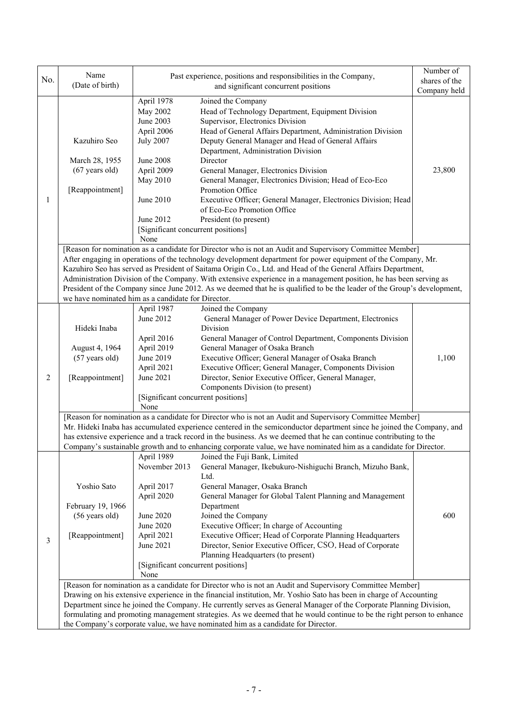| No.            | Name<br>(Date of birth)                                                                                                                                                               | Past experience, positions and responsibilities in the Company,                                                                                                                                                                                                                                                                                                                                                                                                                                                                       | Number of<br>shares of the                                                                                                                                                                                                                                                                                                                                                                                 |              |  |  |  |  |
|----------------|---------------------------------------------------------------------------------------------------------------------------------------------------------------------------------------|---------------------------------------------------------------------------------------------------------------------------------------------------------------------------------------------------------------------------------------------------------------------------------------------------------------------------------------------------------------------------------------------------------------------------------------------------------------------------------------------------------------------------------------|------------------------------------------------------------------------------------------------------------------------------------------------------------------------------------------------------------------------------------------------------------------------------------------------------------------------------------------------------------------------------------------------------------|--------------|--|--|--|--|
|                |                                                                                                                                                                                       |                                                                                                                                                                                                                                                                                                                                                                                                                                                                                                                                       | and significant concurrent positions                                                                                                                                                                                                                                                                                                                                                                       | Company held |  |  |  |  |
|                | April 1978<br>May 2002<br>June 2003<br>April 2006<br>Kazuhiro Seo<br><b>July 2007</b><br>March 28, 1955<br>June 2008<br>$(67$ years old)<br>April 2009<br>May 2010<br>[Reappointment] |                                                                                                                                                                                                                                                                                                                                                                                                                                                                                                                                       | Joined the Company<br>Head of Technology Department, Equipment Division<br>Supervisor, Electronics Division<br>Head of General Affairs Department, Administration Division<br>Deputy General Manager and Head of General Affairs<br>Department, Administration Division<br>Director<br>General Manager, Electronics Division<br>General Manager, Electronics Division; Head of Eco-Eco<br>Promotion Office | 23,800       |  |  |  |  |
| 1              |                                                                                                                                                                                       | June 2010<br>June 2012<br>[Significant concurrent positions]<br>None                                                                                                                                                                                                                                                                                                                                                                                                                                                                  | Executive Officer; General Manager, Electronics Division; Head<br>of Eco-Eco Promotion Office<br>President (to present)                                                                                                                                                                                                                                                                                    |              |  |  |  |  |
|                |                                                                                                                                                                                       |                                                                                                                                                                                                                                                                                                                                                                                                                                                                                                                                       | [Reason for nomination as a candidate for Director who is not an Audit and Supervisory Committee Member]                                                                                                                                                                                                                                                                                                   |              |  |  |  |  |
|                |                                                                                                                                                                                       | After engaging in operations of the technology development department for power equipment of the Company, Mr.<br>Kazuhiro Seo has served as President of Saitama Origin Co., Ltd. and Head of the General Affairs Department,<br>Administration Division of the Company. With extensive experience in a management position, he has been serving as<br>President of the Company since June 2012. As we deemed that he is qualified to be the leader of the Group's development,<br>we have nominated him as a candidate for Director. |                                                                                                                                                                                                                                                                                                                                                                                                            |              |  |  |  |  |
|                |                                                                                                                                                                                       | April 1987                                                                                                                                                                                                                                                                                                                                                                                                                                                                                                                            | Joined the Company                                                                                                                                                                                                                                                                                                                                                                                         |              |  |  |  |  |
|                |                                                                                                                                                                                       | June 2012                                                                                                                                                                                                                                                                                                                                                                                                                                                                                                                             | General Manager of Power Device Department, Electronics                                                                                                                                                                                                                                                                                                                                                    |              |  |  |  |  |
|                | Hideki Inaba                                                                                                                                                                          |                                                                                                                                                                                                                                                                                                                                                                                                                                                                                                                                       | Division                                                                                                                                                                                                                                                                                                                                                                                                   |              |  |  |  |  |
|                |                                                                                                                                                                                       | April 2016                                                                                                                                                                                                                                                                                                                                                                                                                                                                                                                            | General Manager of Control Department, Components Division                                                                                                                                                                                                                                                                                                                                                 | 1,100        |  |  |  |  |
|                | August 4, 1964                                                                                                                                                                        | April 2019                                                                                                                                                                                                                                                                                                                                                                                                                                                                                                                            | General Manager of Osaka Branch                                                                                                                                                                                                                                                                                                                                                                            |              |  |  |  |  |
|                | (57 years old)                                                                                                                                                                        | June 2019                                                                                                                                                                                                                                                                                                                                                                                                                                                                                                                             | Executive Officer; General Manager of Osaka Branch                                                                                                                                                                                                                                                                                                                                                         |              |  |  |  |  |
| $\overline{2}$ | [Reappointment]                                                                                                                                                                       | April 2021<br>June 2021                                                                                                                                                                                                                                                                                                                                                                                                                                                                                                               | Executive Officer; General Manager, Components Division<br>Director, Senior Executive Officer, General Manager,                                                                                                                                                                                                                                                                                            |              |  |  |  |  |
|                |                                                                                                                                                                                       |                                                                                                                                                                                                                                                                                                                                                                                                                                                                                                                                       | Components Division (to present)                                                                                                                                                                                                                                                                                                                                                                           |              |  |  |  |  |
|                |                                                                                                                                                                                       | [Significant concurrent positions]                                                                                                                                                                                                                                                                                                                                                                                                                                                                                                    |                                                                                                                                                                                                                                                                                                                                                                                                            |              |  |  |  |  |
|                |                                                                                                                                                                                       | None                                                                                                                                                                                                                                                                                                                                                                                                                                                                                                                                  |                                                                                                                                                                                                                                                                                                                                                                                                            |              |  |  |  |  |
|                |                                                                                                                                                                                       |                                                                                                                                                                                                                                                                                                                                                                                                                                                                                                                                       | [Reason for nomination as a candidate for Director who is not an Audit and Supervisory Committee Member]                                                                                                                                                                                                                                                                                                   |              |  |  |  |  |
|                |                                                                                                                                                                                       |                                                                                                                                                                                                                                                                                                                                                                                                                                                                                                                                       | Mr. Hideki Inaba has accumulated experience centered in the semiconductor department since he joined the Company, and                                                                                                                                                                                                                                                                                      |              |  |  |  |  |
|                |                                                                                                                                                                                       |                                                                                                                                                                                                                                                                                                                                                                                                                                                                                                                                       | has extensive experience and a track record in the business. As we deemed that he can continue contributing to the                                                                                                                                                                                                                                                                                         |              |  |  |  |  |
|                |                                                                                                                                                                                       |                                                                                                                                                                                                                                                                                                                                                                                                                                                                                                                                       | Company's sustainable growth and to enhancing corporate value, we have nominated him as a candidate for Director.                                                                                                                                                                                                                                                                                          |              |  |  |  |  |
|                |                                                                                                                                                                                       | April 1989                                                                                                                                                                                                                                                                                                                                                                                                                                                                                                                            | Joined the Fuji Bank, Limited                                                                                                                                                                                                                                                                                                                                                                              |              |  |  |  |  |
|                |                                                                                                                                                                                       | November 2013                                                                                                                                                                                                                                                                                                                                                                                                                                                                                                                         | General Manager, Ikebukuro-Nishiguchi Branch, Mizuho Bank,<br>Ltd.                                                                                                                                                                                                                                                                                                                                         |              |  |  |  |  |
|                | Yoshio Sato                                                                                                                                                                           | April 2017                                                                                                                                                                                                                                                                                                                                                                                                                                                                                                                            | General Manager, Osaka Branch                                                                                                                                                                                                                                                                                                                                                                              |              |  |  |  |  |
|                |                                                                                                                                                                                       | April 2020                                                                                                                                                                                                                                                                                                                                                                                                                                                                                                                            | General Manager for Global Talent Planning and Management                                                                                                                                                                                                                                                                                                                                                  |              |  |  |  |  |
|                | February 19, 1966                                                                                                                                                                     |                                                                                                                                                                                                                                                                                                                                                                                                                                                                                                                                       | Department                                                                                                                                                                                                                                                                                                                                                                                                 |              |  |  |  |  |
|                | (56 years old)                                                                                                                                                                        | June 2020                                                                                                                                                                                                                                                                                                                                                                                                                                                                                                                             | Joined the Company                                                                                                                                                                                                                                                                                                                                                                                         | 600          |  |  |  |  |
|                |                                                                                                                                                                                       | June 2020                                                                                                                                                                                                                                                                                                                                                                                                                                                                                                                             | Executive Officer; In charge of Accounting                                                                                                                                                                                                                                                                                                                                                                 |              |  |  |  |  |
| $\mathfrak{Z}$ | [Reappointment]                                                                                                                                                                       | April 2021                                                                                                                                                                                                                                                                                                                                                                                                                                                                                                                            | Executive Officer; Head of Corporate Planning Headquarters                                                                                                                                                                                                                                                                                                                                                 |              |  |  |  |  |
|                |                                                                                                                                                                                       | June 2021                                                                                                                                                                                                                                                                                                                                                                                                                                                                                                                             | Director, Senior Executive Officer, CSO, Head of Corporate                                                                                                                                                                                                                                                                                                                                                 |              |  |  |  |  |
|                |                                                                                                                                                                                       |                                                                                                                                                                                                                                                                                                                                                                                                                                                                                                                                       | Planning Headquarters (to present)                                                                                                                                                                                                                                                                                                                                                                         |              |  |  |  |  |
|                |                                                                                                                                                                                       | [Significant concurrent positions]                                                                                                                                                                                                                                                                                                                                                                                                                                                                                                    |                                                                                                                                                                                                                                                                                                                                                                                                            |              |  |  |  |  |
|                |                                                                                                                                                                                       | None                                                                                                                                                                                                                                                                                                                                                                                                                                                                                                                                  | [Reason for nomination as a candidate for Director who is not an Audit and Supervisory Committee Member]                                                                                                                                                                                                                                                                                                   |              |  |  |  |  |
|                |                                                                                                                                                                                       |                                                                                                                                                                                                                                                                                                                                                                                                                                                                                                                                       | Drawing on his extensive experience in the financial institution, Mr. Yoshio Sato has been in charge of Accounting                                                                                                                                                                                                                                                                                         |              |  |  |  |  |
|                |                                                                                                                                                                                       |                                                                                                                                                                                                                                                                                                                                                                                                                                                                                                                                       | Department since he joined the Company. He currently serves as General Manager of the Corporate Planning Division,                                                                                                                                                                                                                                                                                         |              |  |  |  |  |
|                |                                                                                                                                                                                       |                                                                                                                                                                                                                                                                                                                                                                                                                                                                                                                                       | formulating and promoting management strategies. As we deemed that he would continue to be the right person to enhance                                                                                                                                                                                                                                                                                     |              |  |  |  |  |
|                | the Company's corporate value, we have nominated him as a candidate for Director.                                                                                                     |                                                                                                                                                                                                                                                                                                                                                                                                                                                                                                                                       |                                                                                                                                                                                                                                                                                                                                                                                                            |              |  |  |  |  |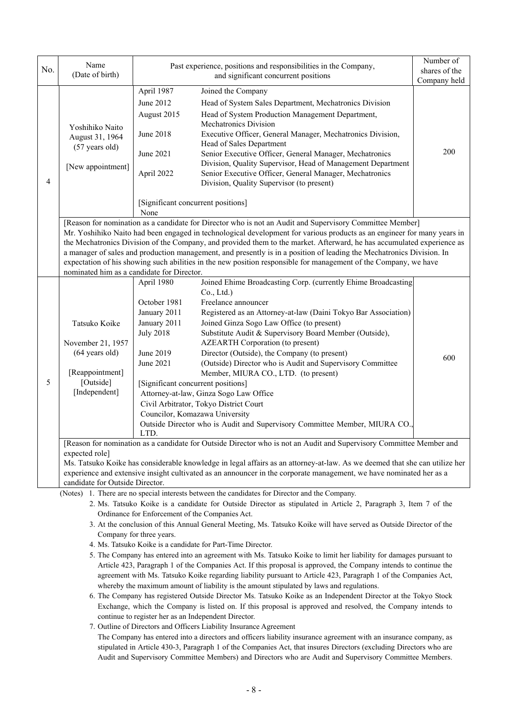| No. | Name<br>(Date of birth)                                                                                                                                                                                                                                                                                                                                                                                                                                                                                                                                                                                                                                                                                                                                                                                                                                                                                                                                                                                                                                                                                                                                                                                                                  |                                                                                                                                                                                          | Past experience, positions and responsibilities in the Company,<br>and significant concurrent positions                                                                                                                                                                                                                                                                                                                                                                                                                                                                                                                                       | Number of<br>shares of the<br>Company held |  |  |  |
|-----|------------------------------------------------------------------------------------------------------------------------------------------------------------------------------------------------------------------------------------------------------------------------------------------------------------------------------------------------------------------------------------------------------------------------------------------------------------------------------------------------------------------------------------------------------------------------------------------------------------------------------------------------------------------------------------------------------------------------------------------------------------------------------------------------------------------------------------------------------------------------------------------------------------------------------------------------------------------------------------------------------------------------------------------------------------------------------------------------------------------------------------------------------------------------------------------------------------------------------------------|------------------------------------------------------------------------------------------------------------------------------------------------------------------------------------------|-----------------------------------------------------------------------------------------------------------------------------------------------------------------------------------------------------------------------------------------------------------------------------------------------------------------------------------------------------------------------------------------------------------------------------------------------------------------------------------------------------------------------------------------------------------------------------------------------------------------------------------------------|--------------------------------------------|--|--|--|
| 4   | Yoshihiko Naito<br>August 31, 1964<br>(57 years old)<br>[New appointment]                                                                                                                                                                                                                                                                                                                                                                                                                                                                                                                                                                                                                                                                                                                                                                                                                                                                                                                                                                                                                                                                                                                                                                | April 1987<br>June 2012<br>August 2015<br>June 2018<br>June 2021<br>April 2022<br>[Significant concurrent positions]<br>None                                                             | Joined the Company<br>Head of System Sales Department, Mechatronics Division<br>Head of System Production Management Department,<br>Mechatronics Division<br>Executive Officer, General Manager, Mechatronics Division,<br>Head of Sales Department<br>Senior Executive Officer, General Manager, Mechatronics<br>Division, Quality Supervisor, Head of Management Department<br>Senior Executive Officer, General Manager, Mechatronics<br>Division, Quality Supervisor (to present)                                                                                                                                                         | 200                                        |  |  |  |
|     | [Reason for nomination as a candidate for Director who is not an Audit and Supervisory Committee Member]<br>Mr. Yoshihiko Naito had been engaged in technological development for various products as an engineer for many years in<br>the Mechatronics Division of the Company, and provided them to the market. Afterward, he has accumulated experience as<br>a manager of sales and production management, and presently is in a position of leading the Mechatronics Division. In<br>expectation of his showing such abilities in the new position responsible for management of the Company, we have<br>nominated him as a candidate for Director.                                                                                                                                                                                                                                                                                                                                                                                                                                                                                                                                                                                 |                                                                                                                                                                                          |                                                                                                                                                                                                                                                                                                                                                                                                                                                                                                                                                                                                                                               |                                            |  |  |  |
| 5   | Tatsuko Koike<br>November 21, 1957<br>(64 years old)<br>[Reappointment]<br>[Outside]<br>[Independent]                                                                                                                                                                                                                                                                                                                                                                                                                                                                                                                                                                                                                                                                                                                                                                                                                                                                                                                                                                                                                                                                                                                                    | April 1980<br>October 1981<br>January 2011<br>January 2011<br><b>July 2018</b><br>June 2019<br>June 2021<br>[Significant concurrent positions]<br>Councilor, Komazawa University<br>LTD. | Joined Ehime Broadcasting Corp. (currently Ehime Broadcasting<br>Co., Ltd.)<br>Freelance announcer<br>Registered as an Attorney-at-law (Daini Tokyo Bar Association)<br>Joined Ginza Sogo Law Office (to present)<br>Substitute Audit & Supervisory Board Member (Outside),<br><b>AZEARTH Corporation (to present)</b><br>Director (Outside), the Company (to present)<br>(Outside) Director who is Audit and Supervisory Committee<br>Member, MIURA CO., LTD. (to present)<br>Attorney-at-law, Ginza Sogo Law Office<br>Civil Arbitrator, Tokyo District Court<br>Outside Director who is Audit and Supervisory Committee Member, MIURA CO., | 600                                        |  |  |  |
|     | [Reason for nomination as a candidate for Outside Director who is not an Audit and Supervisory Committee Member and<br>expected role]<br>Ms. Tatsuko Koike has considerable knowledge in legal affairs as an attorney-at-law. As we deemed that she can utilize her<br>experience and extensive insight cultivated as an announcer in the corporate management, we have nominated her as a<br>candidate for Outside Director.                                                                                                                                                                                                                                                                                                                                                                                                                                                                                                                                                                                                                                                                                                                                                                                                            |                                                                                                                                                                                          |                                                                                                                                                                                                                                                                                                                                                                                                                                                                                                                                                                                                                                               |                                            |  |  |  |
|     | (Notes) 1. There are no special interests between the candidates for Director and the Company.<br>2. Ms. Tatsuko Koike is a candidate for Outside Director as stipulated in Article 2, Paragraph 3, Item 7 of the<br>Ordinance for Enforcement of the Companies Act.<br>3. At the conclusion of this Annual General Meeting, Ms. Tatsuko Koike will have served as Outside Director of the<br>Company for three years.<br>4. Ms. Tatsuko Koike is a candidate for Part-Time Director.<br>5. The Company has entered into an agreement with Ms. Tatsuko Koike to limit her liability for damages pursuant to<br>Article 423, Paragraph 1 of the Companies Act. If this proposal is approved, the Company intends to continue the<br>agreement with Ms. Tatsuko Koike regarding liability pursuant to Article 423, Paragraph 1 of the Companies Act,<br>whereby the maximum amount of liability is the amount stipulated by laws and regulations.<br>6. The Company has registered Outside Director Ms. Tatsuko Koike as an Independent Director at the Tokyo Stock<br>Exchange, which the Company is listed on. If this proposal is approved and resolved, the Company intends to<br>continue to register her as an Independent Director. |                                                                                                                                                                                          |                                                                                                                                                                                                                                                                                                                                                                                                                                                                                                                                                                                                                                               |                                            |  |  |  |

7. Outline of Directors and Officers Liability Insurance Agreement

The Company has entered into a directors and officers liability insurance agreement with an insurance company, as stipulated in Article 430-3, Paragraph 1 of the Companies Act, that insures Directors (excluding Directors who are Audit and Supervisory Committee Members) and Directors who are Audit and Supervisory Committee Members.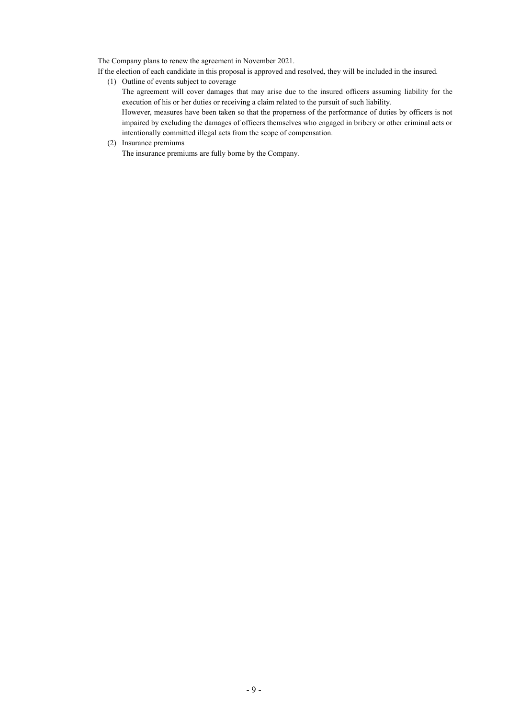The Company plans to renew the agreement in November 2021.

If the election of each candidate in this proposal is approved and resolved, they will be included in the insured.

(1) Outline of events subject to coverage

The agreement will cover damages that may arise due to the insured officers assuming liability for the execution of his or her duties or receiving a claim related to the pursuit of such liability.

 However, measures have been taken so that the properness of the performance of duties by officers is not impaired by excluding the damages of officers themselves who engaged in bribery or other criminal acts or intentionally committed illegal acts from the scope of compensation.

(2) Insurance premiums

The insurance premiums are fully borne by the Company.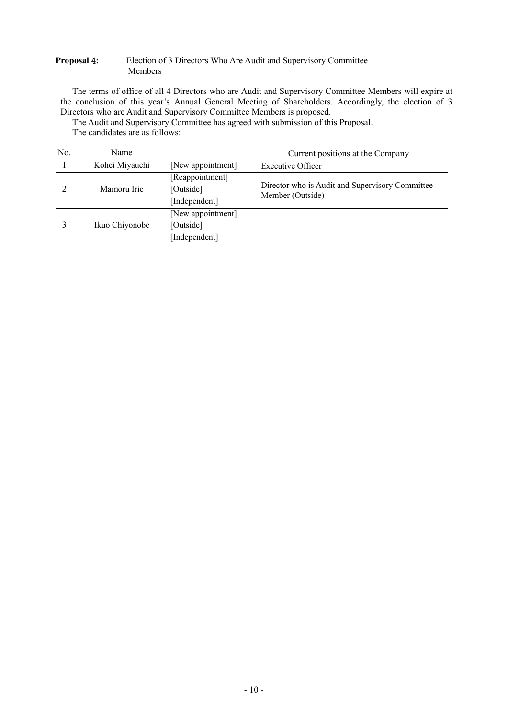### **Proposal** 4**:** Election of 3 Directors Who Are Audit and Supervisory Committee Members

The terms of office of all 4 Directors who are Audit and Supervisory Committee Members will expire at the conclusion of this year's Annual General Meeting of Shareholders. Accordingly, the election of 3 Directors who are Audit and Supervisory Committee Members is proposed.

The Audit and Supervisory Committee has agreed with submission of this Proposal.

The candidates are as follows:

| No. | Name           |                                                 | Current positions at the Company                                    |
|-----|----------------|-------------------------------------------------|---------------------------------------------------------------------|
|     | Kohei Miyauchi | [New appointment]                               | <b>Executive Officer</b>                                            |
|     | Mamoru Irie    | [Reappointment]<br>[Outside]<br>[Independent]   | Director who is Audit and Supervisory Committee<br>Member (Outside) |
|     | Ikuo Chiyonobe | [New appointment]<br>[Outside]<br>[Independent] |                                                                     |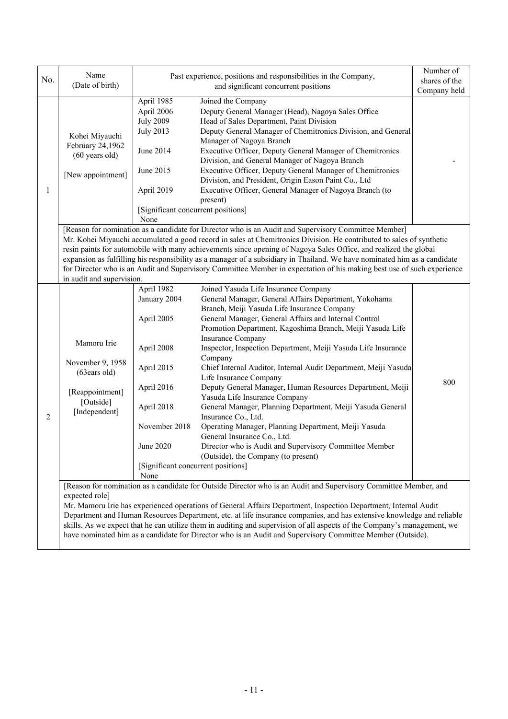| No.            | Name<br>(Date of birth)                                                                                                                                                                                                                                                                                                                                                                                                                                                                                                                                                                                                  |                                                                                                                                                        | Past experience, positions and responsibilities in the Company,<br>and significant concurrent positions                                                                                                                                                                                                                                                                                                                                                                                                                                                                                                                                                                                                                                           | Number of<br>shares of the |  |  |  |  |
|----------------|--------------------------------------------------------------------------------------------------------------------------------------------------------------------------------------------------------------------------------------------------------------------------------------------------------------------------------------------------------------------------------------------------------------------------------------------------------------------------------------------------------------------------------------------------------------------------------------------------------------------------|--------------------------------------------------------------------------------------------------------------------------------------------------------|---------------------------------------------------------------------------------------------------------------------------------------------------------------------------------------------------------------------------------------------------------------------------------------------------------------------------------------------------------------------------------------------------------------------------------------------------------------------------------------------------------------------------------------------------------------------------------------------------------------------------------------------------------------------------------------------------------------------------------------------------|----------------------------|--|--|--|--|
|                |                                                                                                                                                                                                                                                                                                                                                                                                                                                                                                                                                                                                                          |                                                                                                                                                        |                                                                                                                                                                                                                                                                                                                                                                                                                                                                                                                                                                                                                                                                                                                                                   | Company held               |  |  |  |  |
| 1              | Kohei Miyauchi<br>February 24,1962<br>$(60 \text{ years old})$<br>[New appointment]                                                                                                                                                                                                                                                                                                                                                                                                                                                                                                                                      | April 1985<br>April 2006<br><b>July 2009</b><br><b>July 2013</b><br>June 2014<br>June 2015<br>April 2019<br>[Significant concurrent positions]<br>None | Joined the Company<br>Deputy General Manager (Head), Nagoya Sales Office<br>Head of Sales Department, Paint Division<br>Deputy General Manager of Chemitronics Division, and General<br>Manager of Nagoya Branch<br>Executive Officer, Deputy General Manager of Chemitronics<br>Division, and General Manager of Nagoya Branch<br>Executive Officer, Deputy General Manager of Chemitronics<br>Division, and President, Origin Eason Paint Co., Ltd<br>Executive Officer, General Manager of Nagoya Branch (to<br>present)                                                                                                                                                                                                                       |                            |  |  |  |  |
|                |                                                                                                                                                                                                                                                                                                                                                                                                                                                                                                                                                                                                                          |                                                                                                                                                        | [Reason for nomination as a candidate for Director who is an Audit and Supervisory Committee Member]                                                                                                                                                                                                                                                                                                                                                                                                                                                                                                                                                                                                                                              |                            |  |  |  |  |
|                | Mr. Kohei Miyauchi accumulated a good record in sales at Chemitronics Division. He contributed to sales of synthetic<br>resin paints for automobile with many achievements since opening of Nagoya Sales Office, and realized the global<br>expansion as fulfilling his responsibility as a manager of a subsidiary in Thailand. We have nominated him as a candidate<br>for Director who is an Audit and Supervisory Committee Member in expectation of his making best use of such experience<br>in audit and supervision.                                                                                             |                                                                                                                                                        |                                                                                                                                                                                                                                                                                                                                                                                                                                                                                                                                                                                                                                                                                                                                                   |                            |  |  |  |  |
|                |                                                                                                                                                                                                                                                                                                                                                                                                                                                                                                                                                                                                                          | April 1982<br>January 2004                                                                                                                             | Joined Yasuda Life Insurance Company<br>General Manager, General Affairs Department, Yokohama                                                                                                                                                                                                                                                                                                                                                                                                                                                                                                                                                                                                                                                     |                            |  |  |  |  |
| $\overline{2}$ | Mamoru Irie<br>November 9, 1958<br>(63ears old)<br>[Reappointment]<br>[Outside]<br>[Independent]                                                                                                                                                                                                                                                                                                                                                                                                                                                                                                                         | April 2005<br>April 2008<br>April 2015<br>April 2016<br>April 2018<br>November 2018<br>June 2020                                                       | Branch, Meiji Yasuda Life Insurance Company<br>General Manager, General Affairs and Internal Control<br>Promotion Department, Kagoshima Branch, Meiji Yasuda Life<br><b>Insurance Company</b><br>Inspector, Inspection Department, Meiji Yasuda Life Insurance<br>Company<br>Chief Internal Auditor, Internal Audit Department, Meiji Yasuda<br>Life Insurance Company<br>Deputy General Manager, Human Resources Department, Meiji<br>Yasuda Life Insurance Company<br>General Manager, Planning Department, Meiji Yasuda General<br>Insurance Co., Ltd.<br>Operating Manager, Planning Department, Meiji Yasuda<br>General Insurance Co., Ltd.<br>Director who is Audit and Supervisory Committee Member<br>(Outside), the Company (to present) | 800                        |  |  |  |  |
|                |                                                                                                                                                                                                                                                                                                                                                                                                                                                                                                                                                                                                                          | [Significant concurrent positions]<br>None                                                                                                             |                                                                                                                                                                                                                                                                                                                                                                                                                                                                                                                                                                                                                                                                                                                                                   |                            |  |  |  |  |
|                | [Reason for nomination as a candidate for Outside Director who is an Audit and Supervisory Committee Member, and<br>expected role]<br>Mr. Mamoru Irie has experienced operations of General Affairs Department, Inspection Department, Internal Audit<br>Department and Human Resources Department, etc. at life insurance companies, and has extensive knowledge and reliable<br>skills. As we expect that he can utilize them in auditing and supervision of all aspects of the Company's management, we<br>have nominated him as a candidate for Director who is an Audit and Supervisory Committee Member (Outside). |                                                                                                                                                        |                                                                                                                                                                                                                                                                                                                                                                                                                                                                                                                                                                                                                                                                                                                                                   |                            |  |  |  |  |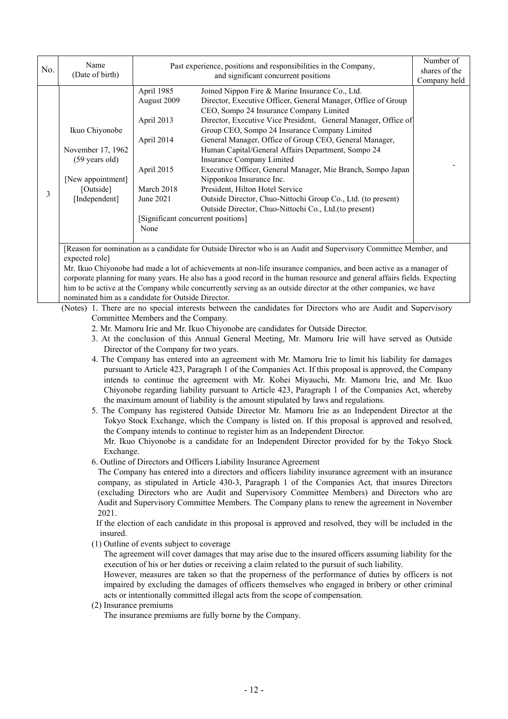| No. | Name<br>(Date of birth)  |             | Past experience, positions and responsibilities in the Company,<br>and significant concurrent positions<br>Company held |  |  |  |
|-----|--------------------------|-------------|-------------------------------------------------------------------------------------------------------------------------|--|--|--|
|     |                          | April 1985  | Joined Nippon Fire & Marine Insurance Co., Ltd.                                                                         |  |  |  |
|     |                          | August 2009 | Director, Executive Officer, General Manager, Office of Group                                                           |  |  |  |
|     |                          |             | CEO, Sompo 24 Insurance Company Limited                                                                                 |  |  |  |
|     |                          | April 2013  | Director, Executive Vice President, General Manager, Office of                                                          |  |  |  |
|     | Ikuo Chiyonobe           |             | Group CEO, Sompo 24 Insurance Company Limited                                                                           |  |  |  |
|     |                          | April 2014  | General Manager, Office of Group CEO, General Manager,                                                                  |  |  |  |
|     | November 17, 1962        |             | Human Capital/General Affairs Department, Sompo 24                                                                      |  |  |  |
|     | $(59 \text{ years old})$ |             | Insurance Company Limited                                                                                               |  |  |  |
|     |                          | April 2015  | Executive Officer, General Manager, Mie Branch, Sompo Japan                                                             |  |  |  |
|     | [New appointment]        |             | Nipponkoa Insurance Inc.                                                                                                |  |  |  |
|     | [Outside]                | March 2018  | President, Hilton Hotel Service                                                                                         |  |  |  |
| 3   | [Independent]            | June 2021   | Outside Director, Chuo-Nittochi Group Co., Ltd. (to present)                                                            |  |  |  |
|     |                          |             | Outside Director, Chuo-Nittochi Co., Ltd. (to present)                                                                  |  |  |  |
|     |                          |             | [Significant concurrent positions]                                                                                      |  |  |  |
|     |                          | None        |                                                                                                                         |  |  |  |
|     |                          |             |                                                                                                                         |  |  |  |
|     |                          |             | Reason for nomination as a candidate for Outside Director who is an Audit and Supervisory Committee Member, and         |  |  |  |

expected role]

Mr. Ikuo Chiyonobe had made a lot of achievements at non-life insurance companies, and been active as a manager of corporate planning for many years. He also has a good record in the human resource and general affairs fields. Expecting him to be active at the Company while concurrently serving as an outside director at the other companies, we have nominated him as a candidate for Outside Director.

(Notes) 1. There are no special interests between the candidates for Directors who are Audit and Supervisory Committee Members and the Company.

- 2. Mr. Mamoru Irie and Mr. Ikuo Chiyonobe are candidates for Outside Director.
- 3. At the conclusion of this Annual General Meeting, Mr. Mamoru Irie will have served as Outside Director of the Company for two years.
- 4. The Company has entered into an agreement with Mr. Mamoru Irie to limit his liability for damages pursuant to Article 423, Paragraph 1 of the Companies Act. If this proposal is approved, the Company intends to continue the agreement with Mr. Kohei Miyauchi, Mr. Mamoru Irie, and Mr. Ikuo Chiyonobe regarding liability pursuant to Article 423, Paragraph 1 of the Companies Act, whereby the maximum amount of liability is the amount stipulated by laws and regulations.
- 5. The Company has registered Outside Director Mr. Mamoru Irie as an Independent Director at the Tokyo Stock Exchange, which the Company is listed on. If this proposal is approved and resolved, the Company intends to continue to register him as an Independent Director.

 Mr. Ikuo Chiyonobe is a candidate for an Independent Director provided for by the Tokyo Stock Exchange.

6. Outline of Directors and Officers Liability Insurance Agreement

The Company has entered into a directors and officers liability insurance agreement with an insurance company, as stipulated in Article 430-3, Paragraph 1 of the Companies Act, that insures Directors (excluding Directors who are Audit and Supervisory Committee Members) and Directors who are Audit and Supervisory Committee Members. The Company plans to renew the agreement in November 2021.

If the election of each candidate in this proposal is approved and resolved, they will be included in the insured.

(1) Outline of events subject to coverage

The agreement will cover damages that may arise due to the insured officers assuming liability for the execution of his or her duties or receiving a claim related to the pursuit of such liability.

However, measures are taken so that the properness of the performance of duties by officers is not impaired by excluding the damages of officers themselves who engaged in bribery or other criminal acts or intentionally committed illegal acts from the scope of compensation.

(2) Insurance premiums

The insurance premiums are fully borne by the Company.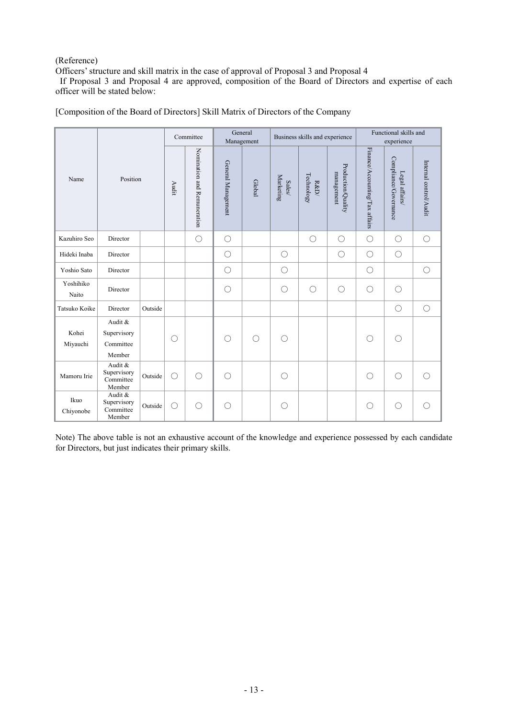## (Reference)

Officers' structure and skill matrix in the case of approval of Proposal 3 and Proposal 4

 If Proposal 3 and Proposal 4 are approved, composition of the Board of Directors and expertise of each officer will be stated below:

|                    |                                               |         | Committee  |                             | General<br>Management |            | Business skills and experience                                           |                                      |                                  | Functional skills and<br>experience |                                         |                        |
|--------------------|-----------------------------------------------|---------|------------|-----------------------------|-----------------------|------------|--------------------------------------------------------------------------|--------------------------------------|----------------------------------|-------------------------------------|-----------------------------------------|------------------------|
| Name               | Position                                      |         | Audit      | Nomination and Remuneration | General Management    | Global     | ${\small \begin{array}{c} \text{Sales} \\ \text{Marketing} \end{array}}$ | Technology<br>${\rm R\!\!\ll\!\!D}/$ | Production/Quality<br>management | Finance/Accounting/Tax affairs      | Compliance/Governance<br>Legal affairs/ | Internal control/Audit |
| Kazuhiro Seo       | Director                                      |         |            | $\bigcirc$                  | $\bigcirc$            |            |                                                                          | $\bigcirc$                           | $\bigcirc$                       | $\bigcirc$                          | $\bigcirc$                              | $\bigcirc$             |
| Hideki Inaba       | Director                                      |         |            |                             | $\bigcirc$            |            | $\bigcirc$                                                               |                                      | $\bigcirc$                       | $\bigcirc$                          | $\bigcirc$                              |                        |
| Yoshio Sato        | Director                                      |         |            |                             | $\bigcirc$            |            | O                                                                        |                                      |                                  | $\bigcirc$                          |                                         | $\bigcirc$             |
| Yoshihiko<br>Naito | Director                                      |         |            |                             | $\bigcirc$            |            | $\bigcirc$                                                               | $\bigcirc$                           | $\bigcirc$                       | $\bigcirc$                          | $\bigcirc$                              |                        |
| Tatsuko Koike      | Director                                      | Outside |            |                             |                       |            |                                                                          |                                      |                                  |                                     | $\bigcirc$                              | $\bigcirc$             |
| Kohei<br>Miyauchi  | Audit &<br>Supervisory<br>Committee<br>Member |         | O          |                             | O                     | $\bigcirc$ | ∩                                                                        |                                      |                                  | O                                   | O                                       |                        |
| Mamoru Irie        | Audit &<br>Supervisory<br>Committee<br>Member | Outside | $\bigcirc$ | $\bigcirc$                  | $\bigcirc$            |            | O                                                                        |                                      |                                  | $\bigcirc$                          | $\bigcirc$                              |                        |
| Ikuo<br>Chiyonobe  | Audit &<br>Supervisory<br>Committee<br>Member | Outside | $\bigcirc$ | $\bigcirc$                  | O                     |            | ()                                                                       |                                      |                                  | O                                   | O                                       |                        |

[Composition of the Board of Directors] Skill Matrix of Directors of the Company

Note) The above table is not an exhaustive account of the knowledge and experience possessed by each candidate for Directors, but just indicates their primary skills.